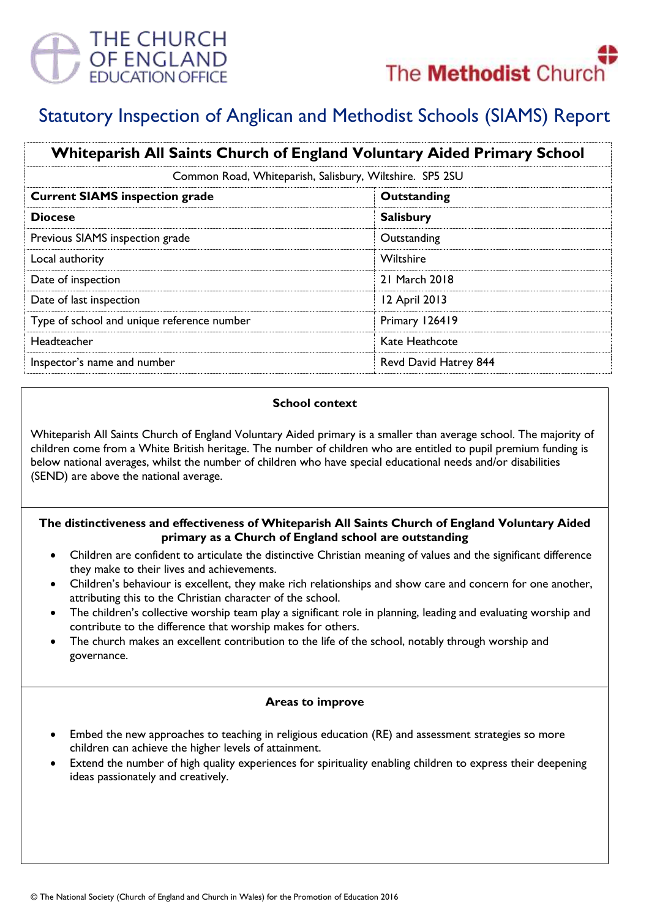

# Statutory Inspection of Anglican and Methodist Schools (SIAMS) Report

| Whiteparish All Saints Church of England Voluntary Aided Primary School<br>Common Road, Whiteparish, Salisbury, Wiltshire. SP5 2SU |                       |
|------------------------------------------------------------------------------------------------------------------------------------|-----------------------|
|                                                                                                                                    |                       |
| <b>Diocese</b>                                                                                                                     | <b>Salisbury</b>      |
| Previous SIAMS inspection grade                                                                                                    | Outstanding           |
| Local authority                                                                                                                    | Wiltshire             |
| Date of inspection                                                                                                                 | 21 March 2018         |
| Date of last inspection                                                                                                            | 12 April 2013         |
| Type of school and unique reference number                                                                                         | Primary 126419        |
| Headteacher                                                                                                                        | Kate Heathcote        |
| Inspector's name and number                                                                                                        | Revd David Hatrey 844 |

#### **School context**

Whiteparish All Saints Church of England Voluntary Aided primary is a smaller than average school. The majority of children come from a White British heritage. The number of children who are entitled to pupil premium funding is below national averages, whilst the number of children who have special educational needs and/or disabilities (SEND) are above the national average.

### **The distinctiveness and effectiveness of Whiteparish All Saints Church of England Voluntary Aided primary as a Church of England school are outstanding**

- Children are confident to articulate the distinctive Christian meaning of values and the significant difference they make to their lives and achievements.
- Children's behaviour is excellent, they make rich relationships and show care and concern for one another, attributing this to the Christian character of the school.
- The children's collective worship team play a significant role in planning, leading and evaluating worship and contribute to the difference that worship makes for others.
- The church makes an excellent contribution to the life of the school, notably through worship and governance.

### **Areas to improve**

- Embed the new approaches to teaching in religious education (RE) and assessment strategies so more children can achieve the higher levels of attainment.
- Extend the number of high quality experiences for spirituality enabling children to express their deepening ideas passionately and creatively.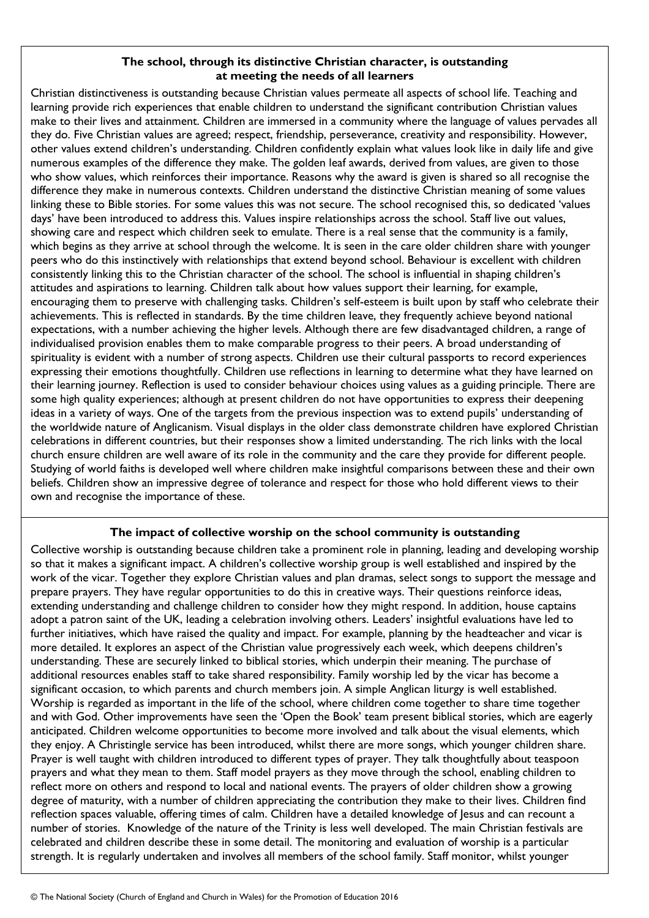#### **The school, through its distinctive Christian character, is outstanding at meeting the needs of all learners**

Christian distinctiveness is outstanding because Christian values permeate all aspects of school life. Teaching and learning provide rich experiences that enable children to understand the significant contribution Christian values make to their lives and attainment. Children are immersed in a community where the language of values pervades all they do. Five Christian values are agreed; respect, friendship, perseverance, creativity and responsibility. However, other values extend children's understanding. Children confidently explain what values look like in daily life and give numerous examples of the difference they make. The golden leaf awards, derived from values, are given to those who show values, which reinforces their importance. Reasons why the award is given is shared so all recognise the difference they make in numerous contexts. Children understand the distinctive Christian meaning of some values linking these to Bible stories. For some values this was not secure. The school recognised this, so dedicated 'values days' have been introduced to address this. Values inspire relationships across the school. Staff live out values, showing care and respect which children seek to emulate. There is a real sense that the community is a family, which begins as they arrive at school through the welcome. It is seen in the care older children share with younger peers who do this instinctively with relationships that extend beyond school. Behaviour is excellent with children consistently linking this to the Christian character of the school. The school is influential in shaping children's attitudes and aspirations to learning. Children talk about how values support their learning, for example, encouraging them to preserve with challenging tasks. Children's self-esteem is built upon by staff who celebrate their achievements. This is reflected in standards. By the time children leave, they frequently achieve beyond national expectations, with a number achieving the higher levels. Although there are few disadvantaged children, a range of individualised provision enables them to make comparable progress to their peers. A broad understanding of spirituality is evident with a number of strong aspects. Children use their cultural passports to record experiences expressing their emotions thoughtfully. Children use reflections in learning to determine what they have learned on their learning journey. Reflection is used to consider behaviour choices using values as a guiding principle. There are some high quality experiences; although at present children do not have opportunities to express their deepening ideas in a variety of ways. One of the targets from the previous inspection was to extend pupils' understanding of the worldwide nature of Anglicanism. Visual displays in the older class demonstrate children have explored Christian celebrations in different countries, but their responses show a limited understanding. The rich links with the local church ensure children are well aware of its role in the community and the care they provide for different people. Studying of world faiths is developed well where children make insightful comparisons between these and their own beliefs. Children show an impressive degree of tolerance and respect for those who hold different views to their own and recognise the importance of these.

## **The impact of collective worship on the school community is outstanding**

Collective worship is outstanding because children take a prominent role in planning, leading and developing worship so that it makes a significant impact. A children's collective worship group is well established and inspired by the work of the vicar. Together they explore Christian values and plan dramas, select songs to support the message and prepare prayers. They have regular opportunities to do this in creative ways. Their questions reinforce ideas, extending understanding and challenge children to consider how they might respond. In addition, house captains adopt a patron saint of the UK, leading a celebration involving others. Leaders' insightful evaluations have led to further initiatives, which have raised the quality and impact. For example, planning by the headteacher and vicar is more detailed. It explores an aspect of the Christian value progressively each week, which deepens children's understanding. These are securely linked to biblical stories, which underpin their meaning. The purchase of additional resources enables staff to take shared responsibility. Family worship led by the vicar has become a significant occasion, to which parents and church members join. A simple Anglican liturgy is well established. Worship is regarded as important in the life of the school, where children come together to share time together and with God. Other improvements have seen the 'Open the Book' team present biblical stories, which are eagerly anticipated. Children welcome opportunities to become more involved and talk about the visual elements, which they enjoy. A Christingle service has been introduced, whilst there are more songs, which younger children share. Prayer is well taught with children introduced to different types of prayer. They talk thoughtfully about teaspoon prayers and what they mean to them. Staff model prayers as they move through the school, enabling children to reflect more on others and respond to local and national events. The prayers of older children show a growing degree of maturity, with a number of children appreciating the contribution they make to their lives. Children find reflection spaces valuable, offering times of calm. Children have a detailed knowledge of Jesus and can recount a number of stories. Knowledge of the nature of the Trinity is less well developed. The main Christian festivals are celebrated and children describe these in some detail. The monitoring and evaluation of worship is a particular strength. It is regularly undertaken and involves all members of the school family. Staff monitor, whilst younger